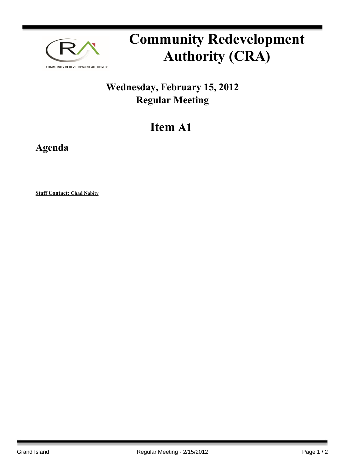

# **Community Redevelopment Authority (CRA)**

## **Wednesday, February 15, 2012 Regular Meeting**

## **Item A1**

**Agenda**

**Staff Contact: Chad Nabity**